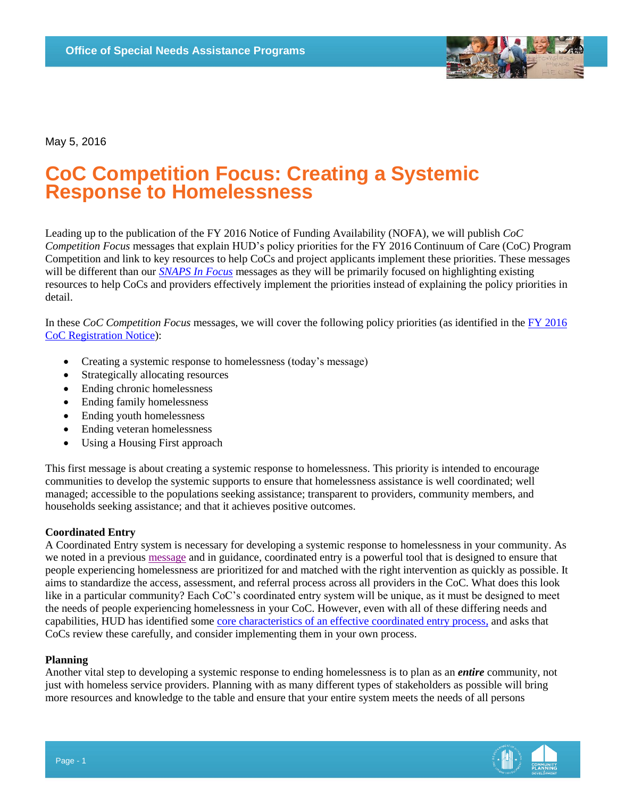

May 5, 2016

# **CoC Competition Focus: Creating a Systemic Response to Homelessness**

Leading up to the publication of the FY 2016 Notice of Funding Availability (NOFA), we will publish *CoC Competition Focus* messages that explain HUD's policy priorities for the FY 2016 Continuum of Care (CoC) Program Competition and link to key resources to help CoCs and project applicants implement these priorities. These messages will be different than our *SNAPS [In Focus](https://www.hudexchange.info/homelessness-assistance/snaps-in-focus/)* messages as they will be primarily focused on highlighting existing resources to help CoCs and providers effectively implement the priorities instead of explaining the policy priorities in detail.

In these *CoC Competition Focus* messages, we will cover the following policy priorities (as identified in the [FY 2016](https://www.hudexchange.info/resource/4995/fy-2016-coc-program-registration-notice/)  [CoC Registration Notice\)](https://www.hudexchange.info/resource/4995/fy-2016-coc-program-registration-notice/):

- Creating a systemic response to homelessness (today's message)
- Strategically allocating resources
- Ending chronic homelessness
- Ending family homelessness
- Ending youth homelessness
- Ending veteran homelessness
- Using a Housing First approach

This first message is about creating a systemic response to homelessness. This priority is intended to encourage communities to develop the systemic supports to ensure that homelessness assistance is well coordinated; well managed; accessible to the populations seeking assistance; transparent to providers, community members, and households seeking assistance; and that it achieves positive outcomes.

### **Coordinated Entry**

A Coordinated Entry system is necessary for developing a systemic response to homelessness in your community. As we noted in a previous [message](https://www.hudexchange.info/news/snaps-weekly-focus-why-coordinated-assessment-is-critical-to-ending-homelessness-locally/) and in guidance, coordinated entry is a powerful tool that is designed to ensure that people experiencing homelessness are prioritized for and matched with the right intervention as quickly as possible. It aims to standardize the access, assessment, and referral process across all providers in the CoC. What does this look like in a particular community? Each CoC's coordinated entry system will be unique, as it must be designed to meet the needs of people experiencing homelessness in your CoC. However, even with all of these differing needs and capabilities, HUD has identified some [core characteristics of an effective coordinated entry process,](https://www.hudexchange.info/resource/4427/coordinated-entry-policy-brief/) and asks that CoCs review these carefully, and consider implementing them in your own process.

### **Planning**

Another vital step to developing a systemic response to ending homelessness is to plan as an *entire* community, not just with homeless service providers. Planning with as many different types of stakeholders as possible will bring more resources and knowledge to the table and ensure that your entire system meets the needs of all persons

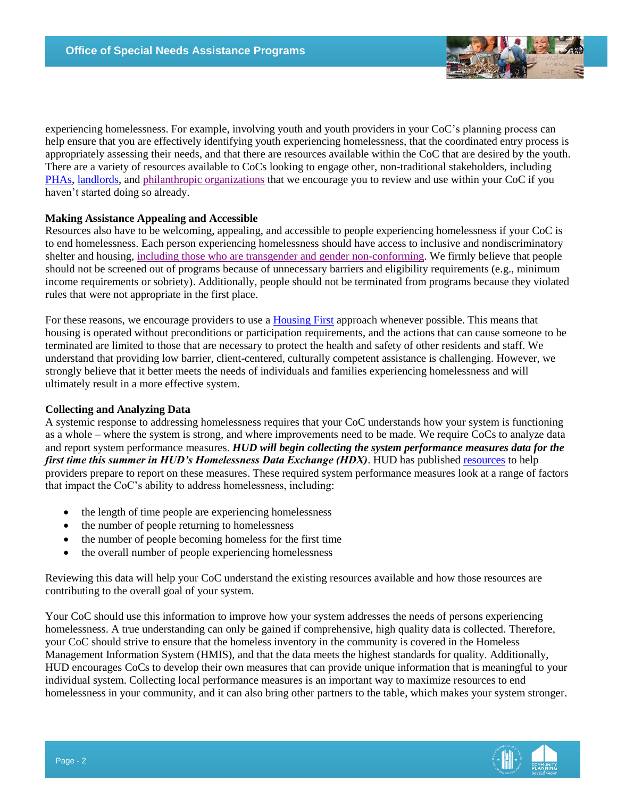

experiencing homelessness. For example, involving youth and youth providers in your CoC's planning process can help ensure that you are effectively identifying youth experiencing homelessness, that the coordinated entry process is appropriately assessing their needs, and that there are resources available within the CoC that are desired by the youth. There are a variety of resources available to CoCs looking to engage other, non-traditional stakeholders, including [PHAs,](https://www.hudexchange.info/news/resources-for-coc-and-pha-collaboration-to-end-homelessness/) [landlords,](https://cmtysolutions.org/landlord-toolkit) and [philanthropic organizations](https://www.hudexchange.info/news/snaps-weekly-focus-working-together-to-end-homelessness/) that we encourage you to review and use within your CoC if you haven't started doing so already.

## **Making Assistance Appealing and Accessible**

Resources also have to be welcoming, appealing, and accessible to people experiencing homelessness if your CoC is to end homelessness. Each person experiencing homelessness should have access to inclusive and nondiscriminatory shelter and housing, [including those who are transgender and gender non-conforming.](https://www.hudexchange.info/news/snaps-in-focus-equal-access-for-transgender-people/) We firmly believe that people should not be screened out of programs because of unnecessary barriers and eligibility requirements (e.g., minimum income requirements or sobriety). Additionally, people should not be terminated from programs because they violated rules that were not appropriate in the first place.

For these reasons, we encourage providers to use a [Housing First](https://www.hudexchange.info/resource/3892/housing-first-in-permanent-supportive-housing-brief/) approach whenever possible. This means that housing is operated without preconditions or participation requirements, and the actions that can cause someone to be terminated are limited to those that are necessary to protect the health and safety of other residents and staff. We understand that providing low barrier, client-centered, culturally competent assistance is challenging. However, we strongly believe that it better meets the needs of individuals and families experiencing homelessness and will ultimately result in a more effective system.

### **Collecting and Analyzing Data**

A systemic response to addressing homelessness requires that your CoC understands how your system is functioning as a whole – where the system is strong, and where improvements need to be made. We require CoCs to analyze data and report system performance measures. *HUD will begin collecting the system performance measures data for the first time this summer in HUD's Homelessness Data Exchange (HDX)*. HUD has published [resources](https://www.hudexchange.info/programs/coc/system-performance-measures/) to help providers prepare to report on these measures. These required system performance measures look at a range of factors that impact the CoC's ability to address homelessness, including:

- the length of time people are experiencing homelessness
- the number of people returning to homelessness
- the number of people becoming homeless for the first time
- the overall number of people experiencing homelessness

Reviewing this data will help your CoC understand the existing resources available and how those resources are contributing to the overall goal of your system.

Your CoC should use this information to improve how your system addresses the needs of persons experiencing homelessness. A true understanding can only be gained if comprehensive, high quality data is collected. Therefore, your CoC should strive to ensure that the homeless inventory in the community is covered in the Homeless Management Information System (HMIS), and that the data meets the highest standards for quality. Additionally, HUD encourages CoCs to develop their own measures that can provide unique information that is meaningful to your individual system. Collecting local performance measures is an important way to maximize resources to end homelessness in your community, and it can also bring other partners to the table, which makes your system stronger.